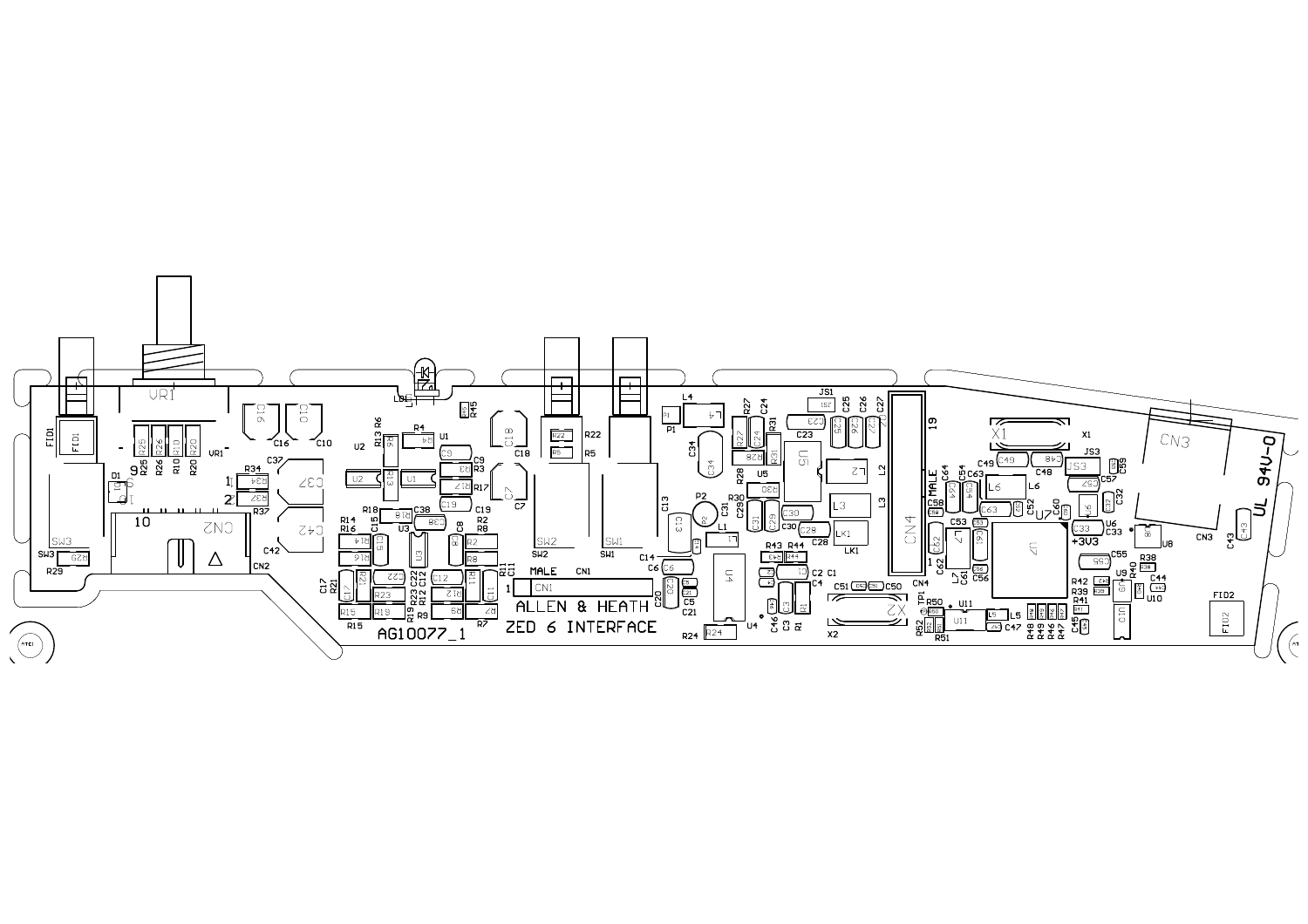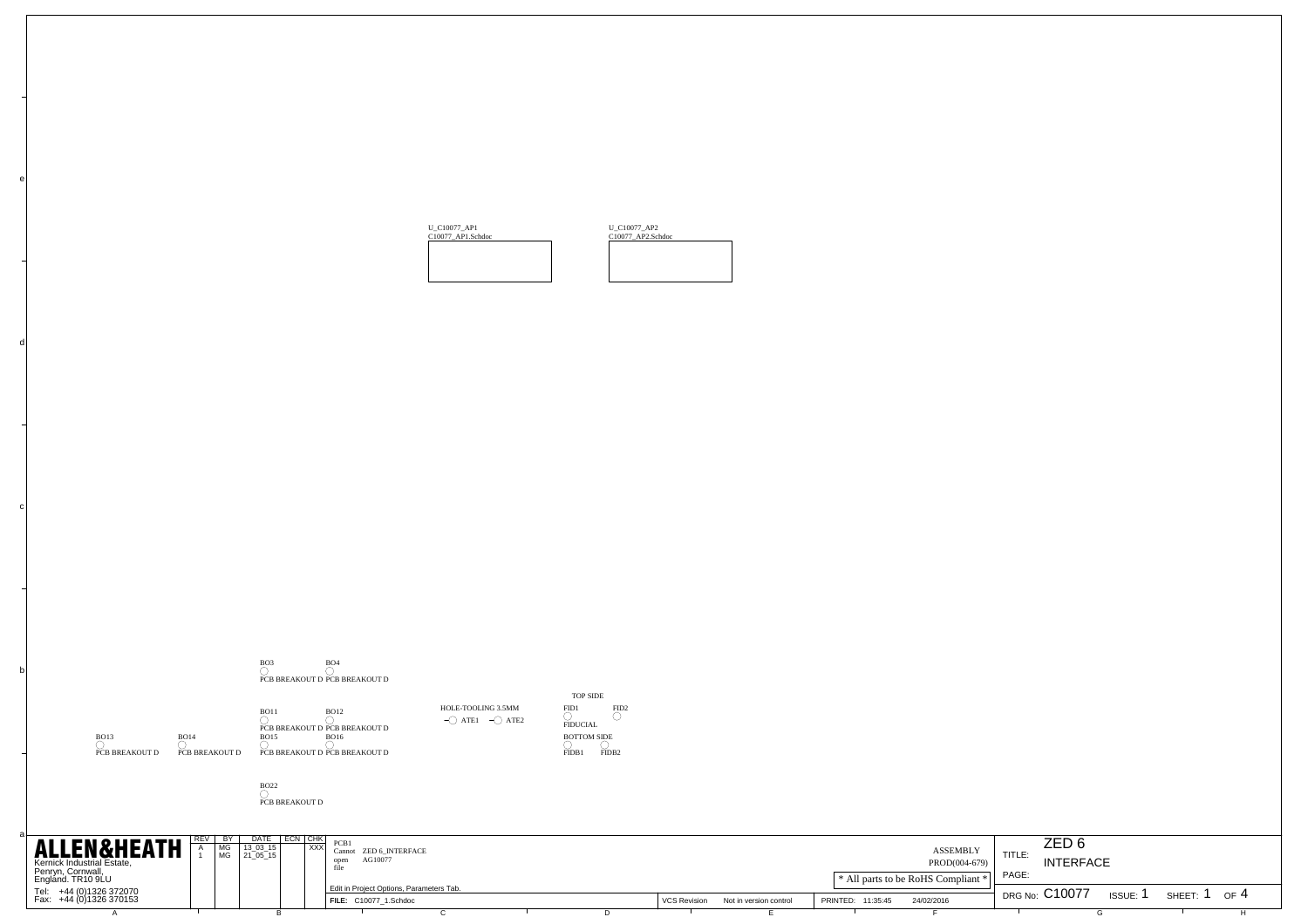



BO22 PCB BREAKOUT D

c

d

e

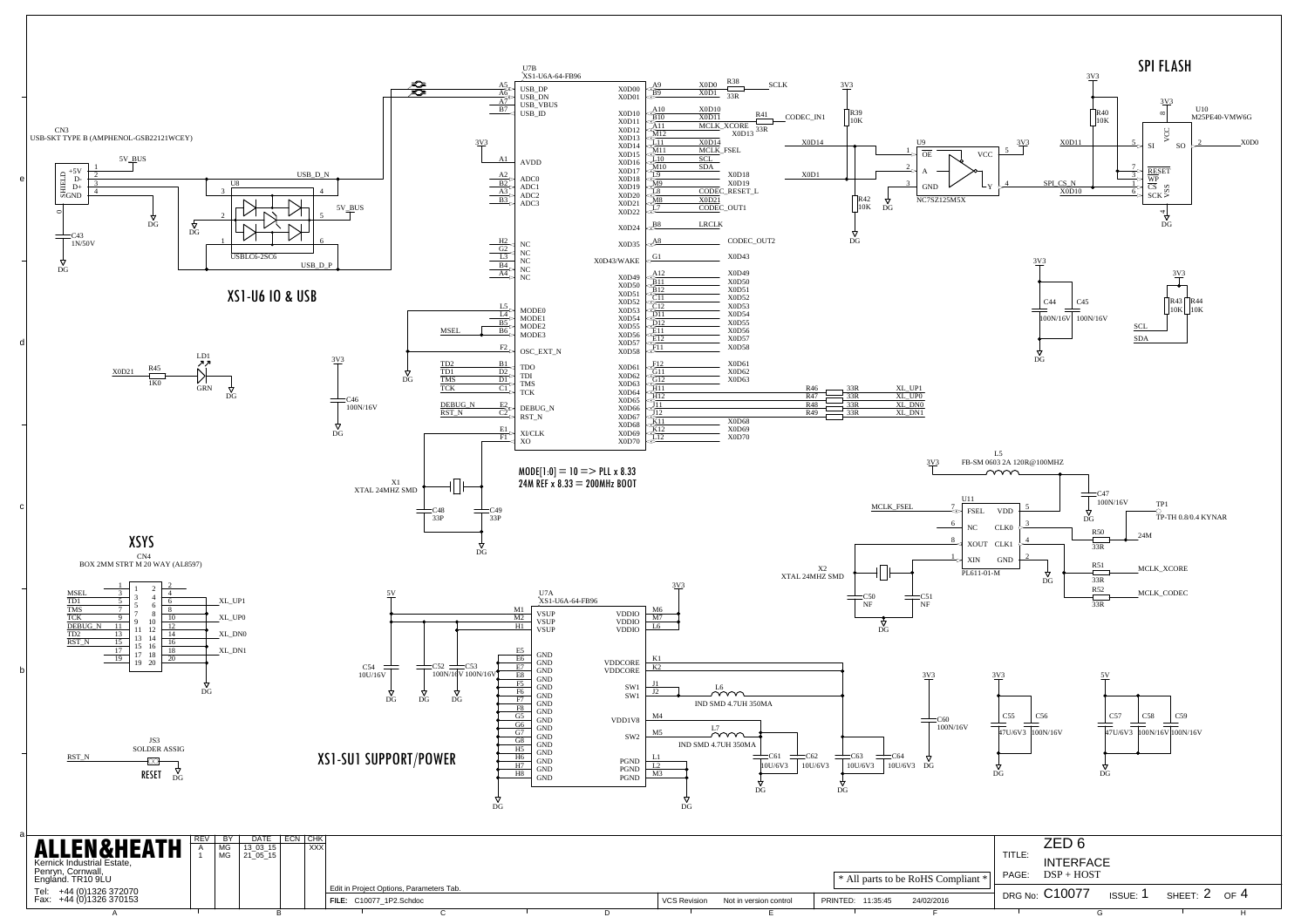

| Kernick Industrial Estate,<br>Penryn, Cornwall,<br>England. TR10 9LU |  |                                          |  |  |              |                        |                   | * All parts to be RoHS Compliant * | <b>INTERFACE</b><br>PAGE: DSP + HOST |          |               |  |
|----------------------------------------------------------------------|--|------------------------------------------|--|--|--------------|------------------------|-------------------|------------------------------------|--------------------------------------|----------|---------------|--|
|                                                                      |  | Edit in Project Options, Parameters Tab. |  |  |              |                        |                   |                                    |                                      |          |               |  |
| Tel: +44 (0)1326 372070<br>Fax: +44 (0)1326 370153                   |  | FILE: C10077_1P2.Schdoc                  |  |  | VCS Revision | Not in version control | PRINTED: 11:35:45 | 24/02/2016                         | DRG No: C10077                       | ıss∪E: 1 | SHEET: 2 OF 4 |  |
|                                                                      |  |                                          |  |  |              |                        |                   |                                    |                                      |          |               |  |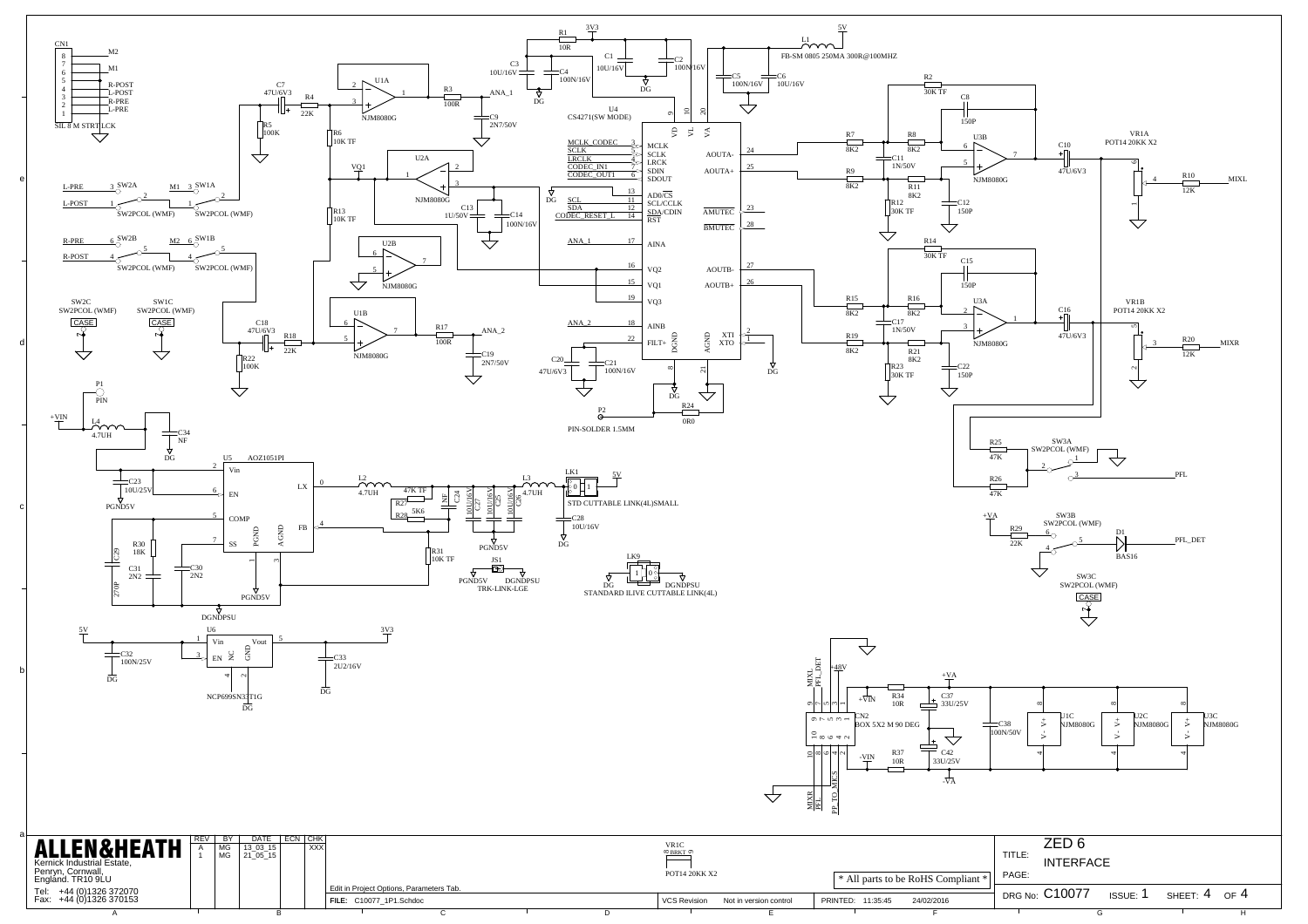

| Penryn, Cornwall,<br>England. TR10 9LU             |  |  |                         |                                          |  |  | POT14 20KK X2       |                        |                   | * All parts to be RoHS Compliant * PAGE: |                |               |          |            |
|----------------------------------------------------|--|--|-------------------------|------------------------------------------|--|--|---------------------|------------------------|-------------------|------------------------------------------|----------------|---------------|----------|------------|
| Tel: +44 (0)1326 372070<br>Fax: +44 (0)1326 370153 |  |  | FILE: C10077_1P1.Schdoc | Edit in Project Options, Parameters Tab. |  |  | <b>VCS Revision</b> | Not in version control | PRINTED: 11:35:45 | 24/02/2016                               | DRG No: C10077 | <b>ISSUE:</b> | SHEET: 4 | $\cap$ F 4 |
|                                                    |  |  |                         |                                          |  |  |                     |                        |                   |                                          |                |               |          |            |

b

c

d

e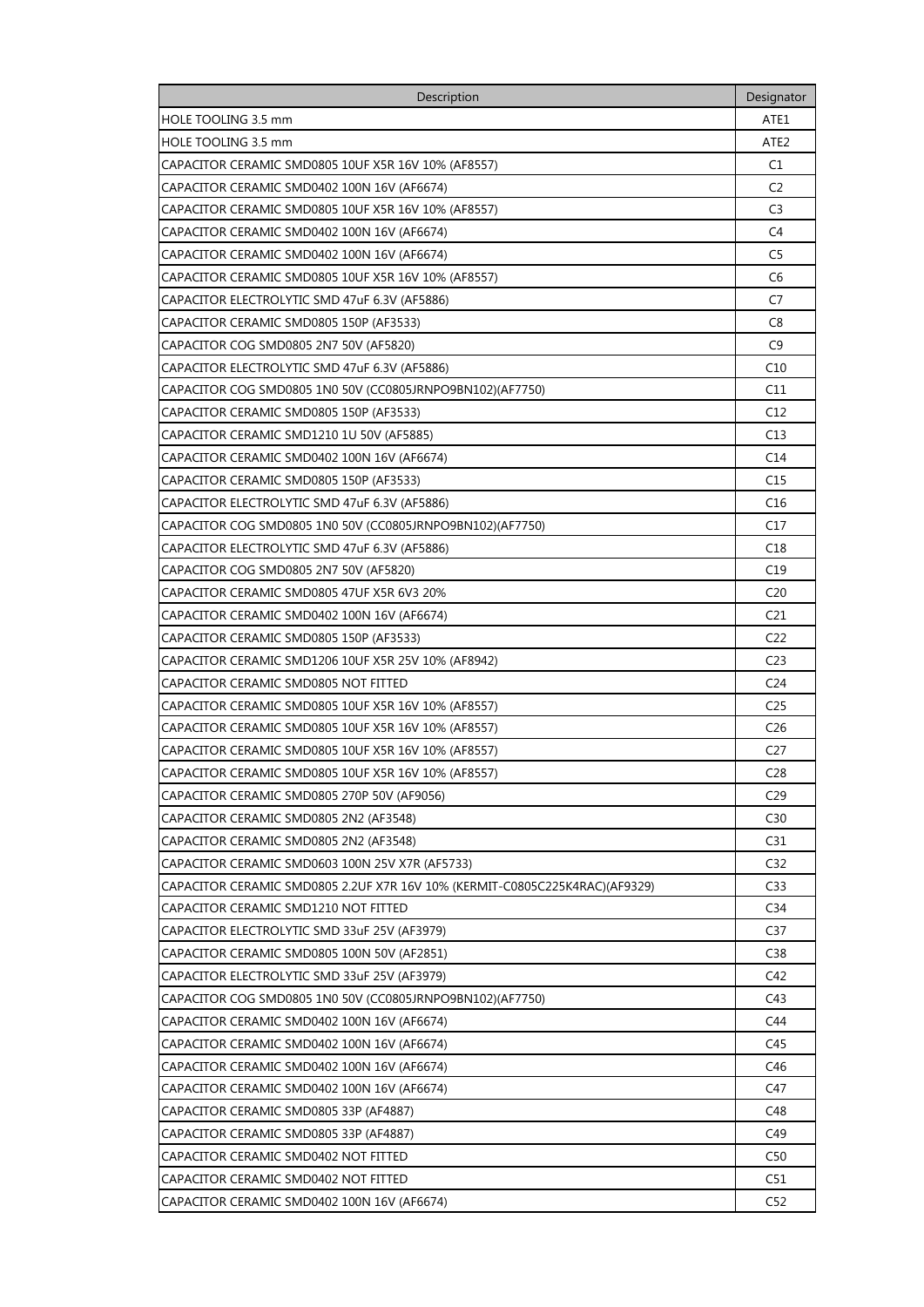| Description                                                                 | Designator       |
|-----------------------------------------------------------------------------|------------------|
| HOLE TOOLING 3.5 mm                                                         | ATE1             |
| HOLE TOOLING 3.5 mm                                                         | ATE <sub>2</sub> |
| CAPACITOR CERAMIC SMD0805 10UF X5R 16V 10% (AF8557)                         | C1               |
| CAPACITOR CERAMIC SMD0402 100N 16V (AF6674)                                 | C <sub>2</sub>   |
| CAPACITOR CERAMIC SMD0805 10UF X5R 16V 10% (AF8557)                         | C <sub>3</sub>   |
| CAPACITOR CERAMIC SMD0402 100N 16V (AF6674)                                 | C <sub>4</sub>   |
| CAPACITOR CERAMIC SMD0402 100N 16V (AF6674)                                 | C5               |
| CAPACITOR CERAMIC SMD0805 10UF X5R 16V 10% (AF8557)                         | C <sub>6</sub>   |
| CAPACITOR ELECTROLYTIC SMD 47uF 6.3V (AF5886)                               | C7               |
| CAPACITOR CERAMIC SMD0805 150P (AF3533)                                     | C8               |
| CAPACITOR COG SMD0805 2N7 50V (AF5820)                                      | C <sub>9</sub>   |
| CAPACITOR ELECTROLYTIC SMD 47uF 6.3V (AF5886)                               | C <sub>10</sub>  |
| CAPACITOR COG SMD0805 1N0 50V (CC0805JRNPO9BN102)(AF7750)                   | C11              |
| CAPACITOR CERAMIC SMD0805 150P (AF3533)                                     | C12              |
| CAPACITOR CERAMIC SMD1210 1U 50V (AF5885)                                   | C13              |
| CAPACITOR CERAMIC SMD0402 100N 16V (AF6674)                                 | C14              |
| CAPACITOR CERAMIC SMD0805 150P (AF3533)                                     | C <sub>15</sub>  |
| CAPACITOR ELECTROLYTIC SMD 47uF 6.3V (AF5886)                               | C16              |
| CAPACITOR COG SMD0805 1N0 50V (CC0805JRNPO9BN102)(AF7750)                   | C <sub>17</sub>  |
| CAPACITOR ELECTROLYTIC SMD 47uF 6.3V (AF5886)                               | C18              |
| CAPACITOR COG SMD0805 2N7 50V (AF5820)                                      | C19              |
| CAPACITOR CERAMIC SMD0805 47UF X5R 6V3 20%                                  | C <sub>20</sub>  |
| CAPACITOR CERAMIC SMD0402 100N 16V (AF6674)                                 | C21              |
| CAPACITOR CERAMIC SMD0805 150P (AF3533)                                     | C <sub>22</sub>  |
| CAPACITOR CERAMIC SMD1206 10UF X5R 25V 10% (AF8942)                         | C <sub>23</sub>  |
| CAPACITOR CERAMIC SMD0805 NOT FITTED                                        | C <sub>24</sub>  |
| CAPACITOR CERAMIC SMD0805 10UF X5R 16V 10% (AF8557)                         | C <sub>25</sub>  |
| CAPACITOR CERAMIC SMD0805 10UF X5R 16V 10% (AF8557)                         | C <sub>26</sub>  |
| CAPACITOR CERAMIC SMD0805 10UF X5R 16V 10% (AF8557)                         | C <sub>27</sub>  |
| CAPACITOR CERAMIC SMD0805 10UF X5R 16V 10% (AF8557)                         | C <sub>28</sub>  |
| CAPACITOR CERAMIC SMD0805 270P 50V (AF9056)                                 | C <sub>29</sub>  |
| CAPACITOR CERAMIC SMD0805 2N2 (AF3548)                                      | C30              |
| CAPACITOR CERAMIC SMD0805 2N2 (AF3548)                                      | C31              |
| CAPACITOR CERAMIC SMD0603 100N 25V X7R (AF5733)                             | C <sub>32</sub>  |
| CAPACITOR CERAMIC SMD0805 2.2UF X7R 16V 10% (KERMIT-C0805C225K4RAC)(AF9329) | C33              |
| CAPACITOR CERAMIC SMD1210 NOT FITTED                                        | C34              |
| CAPACITOR ELECTROLYTIC SMD 33uF 25V (AF3979)                                | C <sub>37</sub>  |
| CAPACITOR CERAMIC SMD0805 100N 50V (AF2851)                                 | C38              |
| CAPACITOR ELECTROLYTIC SMD 33uF 25V (AF3979)                                | C42              |
| CAPACITOR COG SMD0805 1N0 50V (CC0805JRNPO9BN102)(AF7750)                   | C43              |
| CAPACITOR CERAMIC SMD0402 100N 16V (AF6674)                                 | C44              |
| CAPACITOR CERAMIC SMD0402 100N 16V (AF6674)                                 | C45              |
| CAPACITOR CERAMIC SMD0402 100N 16V (AF6674)                                 | C46              |
| CAPACITOR CERAMIC SMD0402 100N 16V (AF6674)                                 | C47              |
| CAPACITOR CERAMIC SMD0805 33P (AF4887)                                      | C48              |
| CAPACITOR CERAMIC SMD0805 33P (AF4887)                                      | C49              |
| CAPACITOR CERAMIC SMD0402 NOT FITTED                                        | C50              |
| CAPACITOR CERAMIC SMD0402 NOT FITTED                                        | C51              |
| CAPACITOR CERAMIC SMD0402 100N 16V (AF6674)                                 | C52              |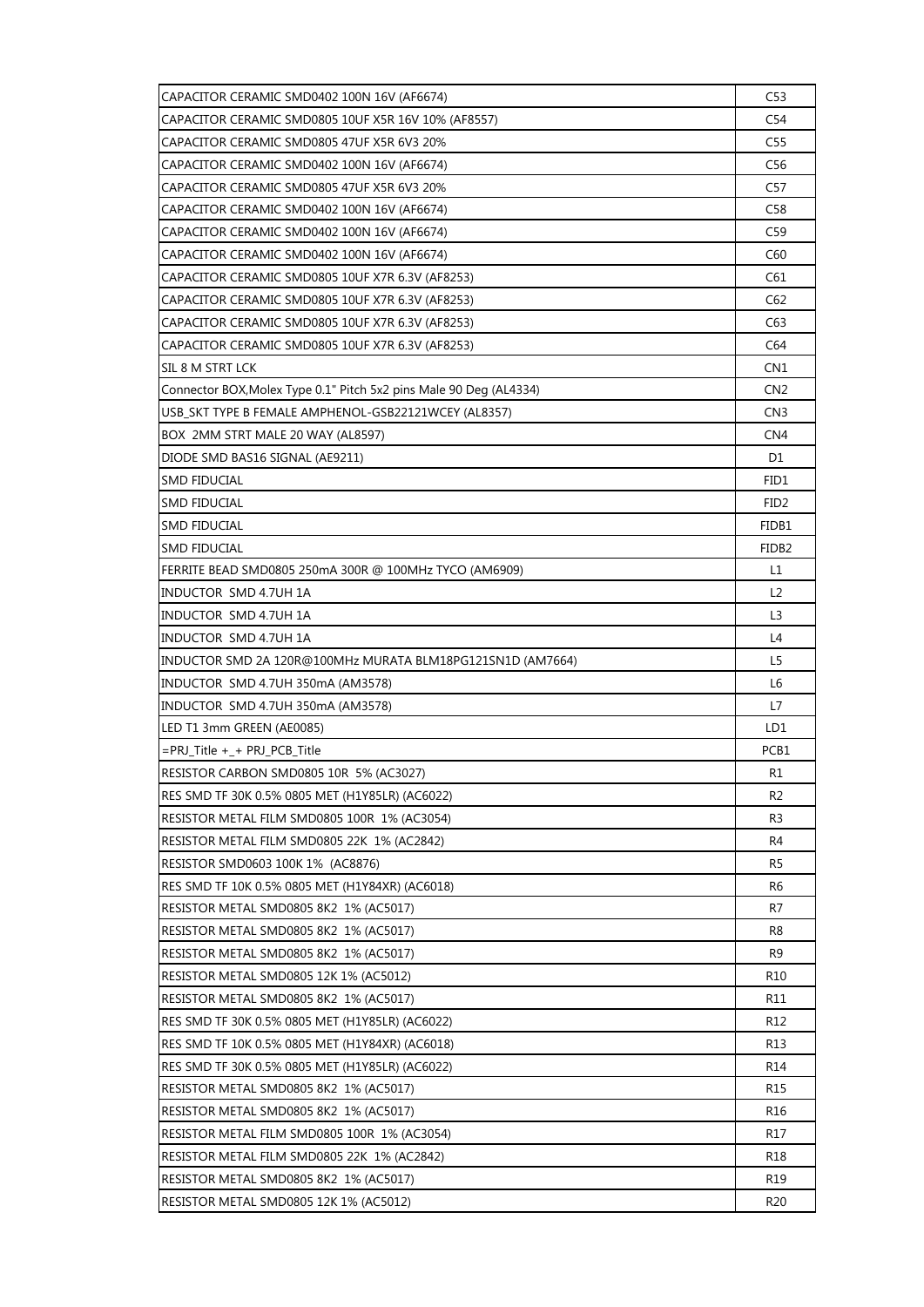| CAPACITOR CERAMIC SMD0805 10UF X5R 16V 10% (AF8557)<br>C54<br>CAPACITOR CERAMIC SMD0805 47UF X5R 6V3 20%<br>C55<br>CAPACITOR CERAMIC SMD0402 100N 16V (AF6674)<br>C56<br>CAPACITOR CERAMIC SMD0805 47UF X5R 6V3 20%<br>C57<br>CAPACITOR CERAMIC SMD0402 100N 16V (AF6674)<br>C58<br>C59<br>CAPACITOR CERAMIC SMD0402 100N 16V (AF6674)<br>CAPACITOR CERAMIC SMD0402 100N 16V (AF6674)<br>C60<br>C61<br>CAPACITOR CERAMIC SMD0805 10UF X7R 6.3V (AF8253)<br>C62<br>CAPACITOR CERAMIC SMD0805 10UF X7R 6.3V (AF8253)<br>C63<br>CAPACITOR CERAMIC SMD0805 10UF X7R 6.3V (AF8253)<br>C64<br>CAPACITOR CERAMIC SMD0805 10UF X7R 6.3V (AF8253)<br>SIL 8 M STRT LCK<br>CN1<br>Connector BOX, Molex Type 0.1" Pitch 5x2 pins Male 90 Deg (AL4334)<br>CN <sub>2</sub><br>USB_SKT TYPE B FEMALE AMPHENOL-GSB22121WCEY (AL8357)<br>CN <sub>3</sub><br>CN <sub>4</sub><br>BOX 2MM STRT MALE 20 WAY (AL8597)<br>D <sub>1</sub><br>DIODE SMD BAS16 SIGNAL (AE9211)<br><b>SMD FIDUCIAL</b><br>FID1<br><b>SMD FIDUCIAL</b><br>FID <sub>2</sub><br><b>SMD FIDUCIAL</b><br>FIDB1<br><b>SMD FIDUCIAL</b><br>FIDB <sub>2</sub><br>FERRITE BEAD SMD0805 250mA 300R @ 100MHz TYCO (AM6909)<br>L1<br>L <sub>2</sub><br>INDUCTOR SMD 4.7UH 1A<br>INDUCTOR SMD 4.7UH 1A<br>L <sub>3</sub><br>INDUCTOR SMD 4.7UH 1A<br>L4<br>INDUCTOR SMD 2A 120R@100MHz MURATA BLM18PG121SN1D (AM7664)<br>L5<br>INDUCTOR SMD 4.7UH 350mA (AM3578)<br>L <sub>6</sub><br>L7<br>LED T1 3mm GREEN (AE0085)<br>LD1<br>PCB1<br>=PRJ_Title +_+ PRJ_PCB_Title<br>RESISTOR CARBON SMD0805 10R 5% (AC3027)<br>R1<br>RES SMD TF 30K 0.5% 0805 MET (H1Y85LR) (AC6022)<br>R2<br>RESISTOR METAL FILM SMD0805 100R 1% (AC3054)<br>R3<br>RESISTOR METAL FILM SMD0805 22K 1% (AC2842)<br>R4<br>RESISTOR SMD0603 100K 1% (AC8876)<br>R5<br>R6<br>RES SMD TF 10K 0.5% 0805 MET (H1Y84XR) (AC6018)<br>RESISTOR METAL SMD0805 8K2 1% (AC5017)<br>R7<br>RESISTOR METAL SMD0805 8K2 1% (AC5017)<br>R8<br>RESISTOR METAL SMD0805 8K2 1% (AC5017)<br>R9<br>RESISTOR METAL SMD0805 12K 1% (AC5012)<br>R <sub>10</sub><br>RESISTOR METAL SMD0805 8K2 1% (AC5017)<br>R11<br>RES SMD TF 30K 0.5% 0805 MET (H1Y85LR) (AC6022)<br>R12<br>RES SMD TF 10K 0.5% 0805 MET (H1Y84XR) (AC6018)<br>R13<br>RES SMD TF 30K 0.5% 0805 MET (H1Y85LR) (AC6022)<br>R14<br>RESISTOR METAL SMD0805 8K2 1% (AC5017)<br>R15<br>R <sub>16</sub><br>RESISTOR METAL SMD0805 8K2 1% (AC5017)<br>RESISTOR METAL FILM SMD0805 100R 1% (AC3054)<br>R17<br>RESISTOR METAL FILM SMD0805 22K 1% (AC2842)<br>R18<br>R <sub>19</sub><br>RESISTOR METAL SMD0805 8K2 1% (AC5017) | CAPACITOR CERAMIC SMD0402 100N 16V (AF6674) | C53 |
|---------------------------------------------------------------------------------------------------------------------------------------------------------------------------------------------------------------------------------------------------------------------------------------------------------------------------------------------------------------------------------------------------------------------------------------------------------------------------------------------------------------------------------------------------------------------------------------------------------------------------------------------------------------------------------------------------------------------------------------------------------------------------------------------------------------------------------------------------------------------------------------------------------------------------------------------------------------------------------------------------------------------------------------------------------------------------------------------------------------------------------------------------------------------------------------------------------------------------------------------------------------------------------------------------------------------------------------------------------------------------------------------------------------------------------------------------------------------------------------------------------------------------------------------------------------------------------------------------------------------------------------------------------------------------------------------------------------------------------------------------------------------------------------------------------------------------------------------------------------------------------------------------------------------------------------------------------------------------------------------------------------------------------------------------------------------------------------------------------------------------------------------------------------------------------------------------------------------------------------------------------------------------------------------------------------------------------------------------------------------------------------------------------------------------------------------------------------------------------------------------------------------------------------------------------------------------|---------------------------------------------|-----|
|                                                                                                                                                                                                                                                                                                                                                                                                                                                                                                                                                                                                                                                                                                                                                                                                                                                                                                                                                                                                                                                                                                                                                                                                                                                                                                                                                                                                                                                                                                                                                                                                                                                                                                                                                                                                                                                                                                                                                                                                                                                                                                                                                                                                                                                                                                                                                                                                                                                                                                                                                                           |                                             |     |
|                                                                                                                                                                                                                                                                                                                                                                                                                                                                                                                                                                                                                                                                                                                                                                                                                                                                                                                                                                                                                                                                                                                                                                                                                                                                                                                                                                                                                                                                                                                                                                                                                                                                                                                                                                                                                                                                                                                                                                                                                                                                                                                                                                                                                                                                                                                                                                                                                                                                                                                                                                           |                                             |     |
|                                                                                                                                                                                                                                                                                                                                                                                                                                                                                                                                                                                                                                                                                                                                                                                                                                                                                                                                                                                                                                                                                                                                                                                                                                                                                                                                                                                                                                                                                                                                                                                                                                                                                                                                                                                                                                                                                                                                                                                                                                                                                                                                                                                                                                                                                                                                                                                                                                                                                                                                                                           |                                             |     |
|                                                                                                                                                                                                                                                                                                                                                                                                                                                                                                                                                                                                                                                                                                                                                                                                                                                                                                                                                                                                                                                                                                                                                                                                                                                                                                                                                                                                                                                                                                                                                                                                                                                                                                                                                                                                                                                                                                                                                                                                                                                                                                                                                                                                                                                                                                                                                                                                                                                                                                                                                                           |                                             |     |
|                                                                                                                                                                                                                                                                                                                                                                                                                                                                                                                                                                                                                                                                                                                                                                                                                                                                                                                                                                                                                                                                                                                                                                                                                                                                                                                                                                                                                                                                                                                                                                                                                                                                                                                                                                                                                                                                                                                                                                                                                                                                                                                                                                                                                                                                                                                                                                                                                                                                                                                                                                           |                                             |     |
|                                                                                                                                                                                                                                                                                                                                                                                                                                                                                                                                                                                                                                                                                                                                                                                                                                                                                                                                                                                                                                                                                                                                                                                                                                                                                                                                                                                                                                                                                                                                                                                                                                                                                                                                                                                                                                                                                                                                                                                                                                                                                                                                                                                                                                                                                                                                                                                                                                                                                                                                                                           |                                             |     |
|                                                                                                                                                                                                                                                                                                                                                                                                                                                                                                                                                                                                                                                                                                                                                                                                                                                                                                                                                                                                                                                                                                                                                                                                                                                                                                                                                                                                                                                                                                                                                                                                                                                                                                                                                                                                                                                                                                                                                                                                                                                                                                                                                                                                                                                                                                                                                                                                                                                                                                                                                                           |                                             |     |
|                                                                                                                                                                                                                                                                                                                                                                                                                                                                                                                                                                                                                                                                                                                                                                                                                                                                                                                                                                                                                                                                                                                                                                                                                                                                                                                                                                                                                                                                                                                                                                                                                                                                                                                                                                                                                                                                                                                                                                                                                                                                                                                                                                                                                                                                                                                                                                                                                                                                                                                                                                           |                                             |     |
|                                                                                                                                                                                                                                                                                                                                                                                                                                                                                                                                                                                                                                                                                                                                                                                                                                                                                                                                                                                                                                                                                                                                                                                                                                                                                                                                                                                                                                                                                                                                                                                                                                                                                                                                                                                                                                                                                                                                                                                                                                                                                                                                                                                                                                                                                                                                                                                                                                                                                                                                                                           |                                             |     |
|                                                                                                                                                                                                                                                                                                                                                                                                                                                                                                                                                                                                                                                                                                                                                                                                                                                                                                                                                                                                                                                                                                                                                                                                                                                                                                                                                                                                                                                                                                                                                                                                                                                                                                                                                                                                                                                                                                                                                                                                                                                                                                                                                                                                                                                                                                                                                                                                                                                                                                                                                                           |                                             |     |
|                                                                                                                                                                                                                                                                                                                                                                                                                                                                                                                                                                                                                                                                                                                                                                                                                                                                                                                                                                                                                                                                                                                                                                                                                                                                                                                                                                                                                                                                                                                                                                                                                                                                                                                                                                                                                                                                                                                                                                                                                                                                                                                                                                                                                                                                                                                                                                                                                                                                                                                                                                           |                                             |     |
|                                                                                                                                                                                                                                                                                                                                                                                                                                                                                                                                                                                                                                                                                                                                                                                                                                                                                                                                                                                                                                                                                                                                                                                                                                                                                                                                                                                                                                                                                                                                                                                                                                                                                                                                                                                                                                                                                                                                                                                                                                                                                                                                                                                                                                                                                                                                                                                                                                                                                                                                                                           |                                             |     |
|                                                                                                                                                                                                                                                                                                                                                                                                                                                                                                                                                                                                                                                                                                                                                                                                                                                                                                                                                                                                                                                                                                                                                                                                                                                                                                                                                                                                                                                                                                                                                                                                                                                                                                                                                                                                                                                                                                                                                                                                                                                                                                                                                                                                                                                                                                                                                                                                                                                                                                                                                                           |                                             |     |
|                                                                                                                                                                                                                                                                                                                                                                                                                                                                                                                                                                                                                                                                                                                                                                                                                                                                                                                                                                                                                                                                                                                                                                                                                                                                                                                                                                                                                                                                                                                                                                                                                                                                                                                                                                                                                                                                                                                                                                                                                                                                                                                                                                                                                                                                                                                                                                                                                                                                                                                                                                           |                                             |     |
|                                                                                                                                                                                                                                                                                                                                                                                                                                                                                                                                                                                                                                                                                                                                                                                                                                                                                                                                                                                                                                                                                                                                                                                                                                                                                                                                                                                                                                                                                                                                                                                                                                                                                                                                                                                                                                                                                                                                                                                                                                                                                                                                                                                                                                                                                                                                                                                                                                                                                                                                                                           |                                             |     |
|                                                                                                                                                                                                                                                                                                                                                                                                                                                                                                                                                                                                                                                                                                                                                                                                                                                                                                                                                                                                                                                                                                                                                                                                                                                                                                                                                                                                                                                                                                                                                                                                                                                                                                                                                                                                                                                                                                                                                                                                                                                                                                                                                                                                                                                                                                                                                                                                                                                                                                                                                                           |                                             |     |
|                                                                                                                                                                                                                                                                                                                                                                                                                                                                                                                                                                                                                                                                                                                                                                                                                                                                                                                                                                                                                                                                                                                                                                                                                                                                                                                                                                                                                                                                                                                                                                                                                                                                                                                                                                                                                                                                                                                                                                                                                                                                                                                                                                                                                                                                                                                                                                                                                                                                                                                                                                           |                                             |     |
|                                                                                                                                                                                                                                                                                                                                                                                                                                                                                                                                                                                                                                                                                                                                                                                                                                                                                                                                                                                                                                                                                                                                                                                                                                                                                                                                                                                                                                                                                                                                                                                                                                                                                                                                                                                                                                                                                                                                                                                                                                                                                                                                                                                                                                                                                                                                                                                                                                                                                                                                                                           |                                             |     |
|                                                                                                                                                                                                                                                                                                                                                                                                                                                                                                                                                                                                                                                                                                                                                                                                                                                                                                                                                                                                                                                                                                                                                                                                                                                                                                                                                                                                                                                                                                                                                                                                                                                                                                                                                                                                                                                                                                                                                                                                                                                                                                                                                                                                                                                                                                                                                                                                                                                                                                                                                                           |                                             |     |
|                                                                                                                                                                                                                                                                                                                                                                                                                                                                                                                                                                                                                                                                                                                                                                                                                                                                                                                                                                                                                                                                                                                                                                                                                                                                                                                                                                                                                                                                                                                                                                                                                                                                                                                                                                                                                                                                                                                                                                                                                                                                                                                                                                                                                                                                                                                                                                                                                                                                                                                                                                           |                                             |     |
|                                                                                                                                                                                                                                                                                                                                                                                                                                                                                                                                                                                                                                                                                                                                                                                                                                                                                                                                                                                                                                                                                                                                                                                                                                                                                                                                                                                                                                                                                                                                                                                                                                                                                                                                                                                                                                                                                                                                                                                                                                                                                                                                                                                                                                                                                                                                                                                                                                                                                                                                                                           |                                             |     |
|                                                                                                                                                                                                                                                                                                                                                                                                                                                                                                                                                                                                                                                                                                                                                                                                                                                                                                                                                                                                                                                                                                                                                                                                                                                                                                                                                                                                                                                                                                                                                                                                                                                                                                                                                                                                                                                                                                                                                                                                                                                                                                                                                                                                                                                                                                                                                                                                                                                                                                                                                                           |                                             |     |
|                                                                                                                                                                                                                                                                                                                                                                                                                                                                                                                                                                                                                                                                                                                                                                                                                                                                                                                                                                                                                                                                                                                                                                                                                                                                                                                                                                                                                                                                                                                                                                                                                                                                                                                                                                                                                                                                                                                                                                                                                                                                                                                                                                                                                                                                                                                                                                                                                                                                                                                                                                           |                                             |     |
|                                                                                                                                                                                                                                                                                                                                                                                                                                                                                                                                                                                                                                                                                                                                                                                                                                                                                                                                                                                                                                                                                                                                                                                                                                                                                                                                                                                                                                                                                                                                                                                                                                                                                                                                                                                                                                                                                                                                                                                                                                                                                                                                                                                                                                                                                                                                                                                                                                                                                                                                                                           |                                             |     |
|                                                                                                                                                                                                                                                                                                                                                                                                                                                                                                                                                                                                                                                                                                                                                                                                                                                                                                                                                                                                                                                                                                                                                                                                                                                                                                                                                                                                                                                                                                                                                                                                                                                                                                                                                                                                                                                                                                                                                                                                                                                                                                                                                                                                                                                                                                                                                                                                                                                                                                                                                                           |                                             |     |
|                                                                                                                                                                                                                                                                                                                                                                                                                                                                                                                                                                                                                                                                                                                                                                                                                                                                                                                                                                                                                                                                                                                                                                                                                                                                                                                                                                                                                                                                                                                                                                                                                                                                                                                                                                                                                                                                                                                                                                                                                                                                                                                                                                                                                                                                                                                                                                                                                                                                                                                                                                           |                                             |     |
|                                                                                                                                                                                                                                                                                                                                                                                                                                                                                                                                                                                                                                                                                                                                                                                                                                                                                                                                                                                                                                                                                                                                                                                                                                                                                                                                                                                                                                                                                                                                                                                                                                                                                                                                                                                                                                                                                                                                                                                                                                                                                                                                                                                                                                                                                                                                                                                                                                                                                                                                                                           | INDUCTOR SMD 4.7UH 350mA (AM3578)           |     |
|                                                                                                                                                                                                                                                                                                                                                                                                                                                                                                                                                                                                                                                                                                                                                                                                                                                                                                                                                                                                                                                                                                                                                                                                                                                                                                                                                                                                                                                                                                                                                                                                                                                                                                                                                                                                                                                                                                                                                                                                                                                                                                                                                                                                                                                                                                                                                                                                                                                                                                                                                                           |                                             |     |
|                                                                                                                                                                                                                                                                                                                                                                                                                                                                                                                                                                                                                                                                                                                                                                                                                                                                                                                                                                                                                                                                                                                                                                                                                                                                                                                                                                                                                                                                                                                                                                                                                                                                                                                                                                                                                                                                                                                                                                                                                                                                                                                                                                                                                                                                                                                                                                                                                                                                                                                                                                           |                                             |     |
|                                                                                                                                                                                                                                                                                                                                                                                                                                                                                                                                                                                                                                                                                                                                                                                                                                                                                                                                                                                                                                                                                                                                                                                                                                                                                                                                                                                                                                                                                                                                                                                                                                                                                                                                                                                                                                                                                                                                                                                                                                                                                                                                                                                                                                                                                                                                                                                                                                                                                                                                                                           |                                             |     |
|                                                                                                                                                                                                                                                                                                                                                                                                                                                                                                                                                                                                                                                                                                                                                                                                                                                                                                                                                                                                                                                                                                                                                                                                                                                                                                                                                                                                                                                                                                                                                                                                                                                                                                                                                                                                                                                                                                                                                                                                                                                                                                                                                                                                                                                                                                                                                                                                                                                                                                                                                                           |                                             |     |
|                                                                                                                                                                                                                                                                                                                                                                                                                                                                                                                                                                                                                                                                                                                                                                                                                                                                                                                                                                                                                                                                                                                                                                                                                                                                                                                                                                                                                                                                                                                                                                                                                                                                                                                                                                                                                                                                                                                                                                                                                                                                                                                                                                                                                                                                                                                                                                                                                                                                                                                                                                           |                                             |     |
|                                                                                                                                                                                                                                                                                                                                                                                                                                                                                                                                                                                                                                                                                                                                                                                                                                                                                                                                                                                                                                                                                                                                                                                                                                                                                                                                                                                                                                                                                                                                                                                                                                                                                                                                                                                                                                                                                                                                                                                                                                                                                                                                                                                                                                                                                                                                                                                                                                                                                                                                                                           |                                             |     |
|                                                                                                                                                                                                                                                                                                                                                                                                                                                                                                                                                                                                                                                                                                                                                                                                                                                                                                                                                                                                                                                                                                                                                                                                                                                                                                                                                                                                                                                                                                                                                                                                                                                                                                                                                                                                                                                                                                                                                                                                                                                                                                                                                                                                                                                                                                                                                                                                                                                                                                                                                                           |                                             |     |
|                                                                                                                                                                                                                                                                                                                                                                                                                                                                                                                                                                                                                                                                                                                                                                                                                                                                                                                                                                                                                                                                                                                                                                                                                                                                                                                                                                                                                                                                                                                                                                                                                                                                                                                                                                                                                                                                                                                                                                                                                                                                                                                                                                                                                                                                                                                                                                                                                                                                                                                                                                           |                                             |     |
|                                                                                                                                                                                                                                                                                                                                                                                                                                                                                                                                                                                                                                                                                                                                                                                                                                                                                                                                                                                                                                                                                                                                                                                                                                                                                                                                                                                                                                                                                                                                                                                                                                                                                                                                                                                                                                                                                                                                                                                                                                                                                                                                                                                                                                                                                                                                                                                                                                                                                                                                                                           |                                             |     |
|                                                                                                                                                                                                                                                                                                                                                                                                                                                                                                                                                                                                                                                                                                                                                                                                                                                                                                                                                                                                                                                                                                                                                                                                                                                                                                                                                                                                                                                                                                                                                                                                                                                                                                                                                                                                                                                                                                                                                                                                                                                                                                                                                                                                                                                                                                                                                                                                                                                                                                                                                                           |                                             |     |
|                                                                                                                                                                                                                                                                                                                                                                                                                                                                                                                                                                                                                                                                                                                                                                                                                                                                                                                                                                                                                                                                                                                                                                                                                                                                                                                                                                                                                                                                                                                                                                                                                                                                                                                                                                                                                                                                                                                                                                                                                                                                                                                                                                                                                                                                                                                                                                                                                                                                                                                                                                           |                                             |     |
|                                                                                                                                                                                                                                                                                                                                                                                                                                                                                                                                                                                                                                                                                                                                                                                                                                                                                                                                                                                                                                                                                                                                                                                                                                                                                                                                                                                                                                                                                                                                                                                                                                                                                                                                                                                                                                                                                                                                                                                                                                                                                                                                                                                                                                                                                                                                                                                                                                                                                                                                                                           |                                             |     |
|                                                                                                                                                                                                                                                                                                                                                                                                                                                                                                                                                                                                                                                                                                                                                                                                                                                                                                                                                                                                                                                                                                                                                                                                                                                                                                                                                                                                                                                                                                                                                                                                                                                                                                                                                                                                                                                                                                                                                                                                                                                                                                                                                                                                                                                                                                                                                                                                                                                                                                                                                                           |                                             |     |
|                                                                                                                                                                                                                                                                                                                                                                                                                                                                                                                                                                                                                                                                                                                                                                                                                                                                                                                                                                                                                                                                                                                                                                                                                                                                                                                                                                                                                                                                                                                                                                                                                                                                                                                                                                                                                                                                                                                                                                                                                                                                                                                                                                                                                                                                                                                                                                                                                                                                                                                                                                           |                                             |     |
|                                                                                                                                                                                                                                                                                                                                                                                                                                                                                                                                                                                                                                                                                                                                                                                                                                                                                                                                                                                                                                                                                                                                                                                                                                                                                                                                                                                                                                                                                                                                                                                                                                                                                                                                                                                                                                                                                                                                                                                                                                                                                                                                                                                                                                                                                                                                                                                                                                                                                                                                                                           |                                             |     |
|                                                                                                                                                                                                                                                                                                                                                                                                                                                                                                                                                                                                                                                                                                                                                                                                                                                                                                                                                                                                                                                                                                                                                                                                                                                                                                                                                                                                                                                                                                                                                                                                                                                                                                                                                                                                                                                                                                                                                                                                                                                                                                                                                                                                                                                                                                                                                                                                                                                                                                                                                                           |                                             |     |
|                                                                                                                                                                                                                                                                                                                                                                                                                                                                                                                                                                                                                                                                                                                                                                                                                                                                                                                                                                                                                                                                                                                                                                                                                                                                                                                                                                                                                                                                                                                                                                                                                                                                                                                                                                                                                                                                                                                                                                                                                                                                                                                                                                                                                                                                                                                                                                                                                                                                                                                                                                           |                                             |     |
|                                                                                                                                                                                                                                                                                                                                                                                                                                                                                                                                                                                                                                                                                                                                                                                                                                                                                                                                                                                                                                                                                                                                                                                                                                                                                                                                                                                                                                                                                                                                                                                                                                                                                                                                                                                                                                                                                                                                                                                                                                                                                                                                                                                                                                                                                                                                                                                                                                                                                                                                                                           |                                             |     |
|                                                                                                                                                                                                                                                                                                                                                                                                                                                                                                                                                                                                                                                                                                                                                                                                                                                                                                                                                                                                                                                                                                                                                                                                                                                                                                                                                                                                                                                                                                                                                                                                                                                                                                                                                                                                                                                                                                                                                                                                                                                                                                                                                                                                                                                                                                                                                                                                                                                                                                                                                                           |                                             |     |
|                                                                                                                                                                                                                                                                                                                                                                                                                                                                                                                                                                                                                                                                                                                                                                                                                                                                                                                                                                                                                                                                                                                                                                                                                                                                                                                                                                                                                                                                                                                                                                                                                                                                                                                                                                                                                                                                                                                                                                                                                                                                                                                                                                                                                                                                                                                                                                                                                                                                                                                                                                           |                                             |     |
|                                                                                                                                                                                                                                                                                                                                                                                                                                                                                                                                                                                                                                                                                                                                                                                                                                                                                                                                                                                                                                                                                                                                                                                                                                                                                                                                                                                                                                                                                                                                                                                                                                                                                                                                                                                                                                                                                                                                                                                                                                                                                                                                                                                                                                                                                                                                                                                                                                                                                                                                                                           |                                             |     |
| RESISTOR METAL SMD0805 12K 1% (AC5012)<br>R <sub>20</sub>                                                                                                                                                                                                                                                                                                                                                                                                                                                                                                                                                                                                                                                                                                                                                                                                                                                                                                                                                                                                                                                                                                                                                                                                                                                                                                                                                                                                                                                                                                                                                                                                                                                                                                                                                                                                                                                                                                                                                                                                                                                                                                                                                                                                                                                                                                                                                                                                                                                                                                                 |                                             |     |